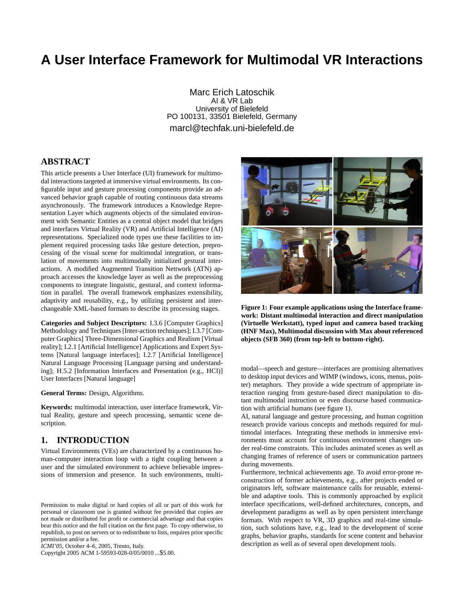# **A User Interface Framework for Multimodal VR Interactions**

Marc Erich Latoschik AI & VR Lab University of Bielefeld PO 100131, 33501 Bielefeld, Germany marcl@techfak.uni-bielefeld.de

# **ABSTRACT**

This article presents a User Interface (UI) framework for multimodal interactions targeted at immersive virtual environments. Its configurable input and gesture processing components provide an advanced behavior graph capable of routing continuous data streams asynchronously. The framework introduces a Knowledge Representation Layer which augments objects of the simulated environment with Semantic Entities as a central object model that bridges and interfaces Virtual Reality (VR) and Artificial Intelligence (AI) representations. Specialized node types use these facilities to implement required processing tasks like gesture detection, preprocessing of the visual scene for multimodal integration, or translation of movements into multimodally initialized gestural interactions. A modified Augmented Transition Nettwork (ATN) approach accesses the knowledge layer as well as the preprocessing components to integrate linguistic, gestural, and context information in parallel. The overall framework emphasizes extensibility, adaptivity and reusability, e.g., by utilizing persistent and interchangeable XML-based formats to describe its processing stages.

**Categories and Subject Descriptors:** I.3.6 [Computer Graphics] Methodology and Techniques [Inter-action techniques]; I.3.7 [Computer Graphics] Three-Dimensional Graphics and Realism [Virtual reality]; I.2.1 [Artificial Intelligence] Applications and Expert Systems [Natural language interfaces]; I.2.7 [Artificial Intelligence] Natural Language Processing [Language parsing and understanding]; H.5.2 [Information Interfaces and Presentation (e.g., HCI)] User Interfaces [Natural language]

**General Terms:** Design, Algorithms.

**Keywords:** multimodal interaction, user interface framework, Virtual Reality, gesture and speech processing, semantic scene description.

# **1. INTRODUCTION**

Virtual Environments (VEs) are characterized by a continuous human-computer interaction loop with a tight coupling between a user and the simulated environment to achieve believable impressions of immersion and presence. In such environments, multi-

*ICMI'05,* October 4–6, 2005, Trento, Italy.

Copyright 2005 ACM 1-59593-028-0/05/0010 ...\$5.00.



**Figure 1: Four example applications using the Interface framework: Distant multimodal interaction and direct manipulation (Virtuelle Werkstatt), typed input and camera based tracking (HNF Max), Multimodal discussion with Max about referenced objects (SFB 360) (from top-left to bottom-right).**

modal—speech and gesture—interfaces are promising alternatives to desktop input devices and WIMP (windows, icons, menus, pointer) metaphors. They provide a wide spectrum of appropriate interaction ranging from gesture-based direct manipulation to distant multimodal instruction or even discourse based communication with artificial humans (see figure 1).

AI, natural language and gesture processing, and human cognition research provide various concepts and methods required for multimodal interfaces. Integrating these methods in immersive environments must account for continuous environment changes under real-time constraints. This includes animated scenes as well as changing frames of reference of users or communication partners during movements.

Furthermore, technical achievements age. To avoid error-prone reconstruction of former achievements, e.g., after projects ended or originators left, software maintenance calls for reusable, extensible and adaptive tools. This is commonly approached by explicit interface specifications, well-defined architectures, concepts, and development paradigms as well as by open persistent interchange formats. With respect to VR, 3D graphics and real-time simulation, such solutions have, e.g., lead to the development of scene graphs, behavior graphs, standards for scene content and behavior description as well as of several open development tools.

Permission to make digital or hard copies of all or part of this work for personal or classroom use is granted without fee provided that copies are not made or distributed for profit or commercial advantage and that copies bear this notice and the full citation on the first page. To copy otherwise, to republish, to post on servers or to redistribute to lists, requires prior specific permission and/or a fee.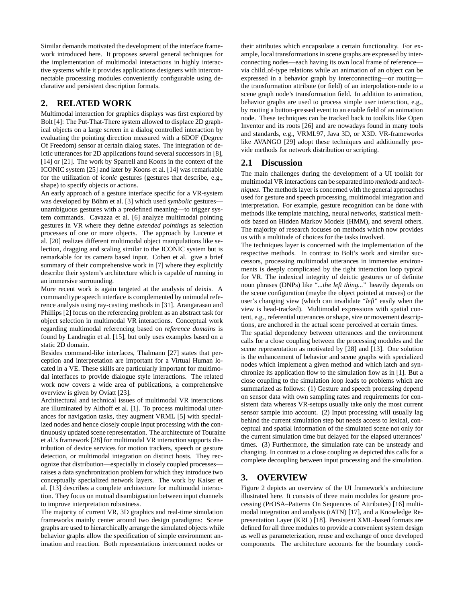Similar demands motivated the development of the interface framework introduced here. It proposes several general techniques for the implementation of multimodal interactions in highly interactive systems while it provides applications designers with interconnectable processing modules conveniently configurable using declarative and persistent description formats.

# **2. RELATED WORK**

Multimodal interaction for graphics displays was first explored by Bolt [4]: The Put-That-There system allowed to displace 2D graphical objects on a large screen in a dialog controlled interaction by evaluating the pointing direction measured with a 6DOF (Degree Of Freedom) sensor at certain dialog states. The integration of deictic utterances for 2D applications found several successors in [8], [14] or [21]. The work by Sparrell and Koons in the context of the ICONIC system [25] and later by Koons et al. [14] was remarkable for the utilization of *iconic* gestures (gestures that describe, e.g., shape) to specify objects or actions.

An early approach of a gesture interface specific for a VR-system was developed by Böhm et al. [3] which used symbolic gesturesunambiguous gestures with a predefined meaning—to trigger system commands. Cavazza et al. [6] analyze multimodal pointing gestures in VR where they define *extended pointings* as selection processes of one or more objects. The approach by Lucente et al. [20] realizes different multimodal object manipulations like selection, dragging and scaling similar to the ICONIC system but is remarkable for its camera based input. Cohen et al. give a brief summary of their comprehensive work in [7] where they explicitly describe their system's architecture which is capable of running in an immersive surrounding.

More recent work is again targeted at the analysis of deixis. A command type speech interface is complemented by unimodal reference analysis using ray-casting methods in [31]. Arangarasan and Phillips [2] focus on the referencing problem as an abstract task for object selection in multimodal VR interactions. Conceptual work regarding multimodal referencing based on *reference domains* is found by Landragin et al. [15], but only uses examples based on a static 2D domain.

Besides command-like interfaces, Thalmann [27] states that perception and interpretation are important for a Virtual Human located in a VE. These skills are particularly important for multimodal interfaces to provide dialogue style interactions. The related work now covers a wide area of publications, a comprehensive overview is given by Oviatt [23].

Architectural and technical issues of multimodal VR interactions are illuminated by Althoff et al. [1]. To process multimodal utterances for navigation tasks, they augment VRML [5] with specialized nodes and hence closely couple input processing with the continuously updated scene representation. The architecture of Touraine et al.'s framework [28] for multimodal VR interaction supports distribution of device services for motion trackers, speech or gesture detection, or multimodal integration on distinct hosts. They recognize that distribution—especially in closely coupled processes raises a data synchronization problem for which they introduce two conceptually specialized network layers. The work by Kaiser et al. [13] describes a complete architecture for multimodal interaction. They focus on mutual disambiguation between input channels to improve interpretation robustness.

The majority of current VR, 3D graphics and real-time simulation frameworks mainly center around two design paradigms: Scene graphs are used to hierarchically arrange the simulated objects while behavior graphs allow the specification of simple environment animation and reaction. Both representations interconnect nodes or

their attributes which encapsulate a certain functionality. For example, local transformations in scene graphs are expressed by interconnecting nodes—each having its own local frame of reference via child of-type relations while an animation of an object can be expressed in a behavior graph by interconnecting—or routing the transformation attribute (or field) of an interpolation-node to a scene graph node's transformation field. In addition to animation, behavior graphs are used to process simple user interaction, e.g., by routing a button-pressed event to an enable field of an animation node. These techniques can be tracked back to toolkits like Open Inventor and its roots [26] and are nowadays found in many tools and standards, e.g., VRML97, Java 3D, or X3D. VR-frameworks like AVANGO [29] adopt these techniques and additionally provide methods for network distribution or scripting.

### **2.1 Discussion**

The main challenges during the development of a UI toolkit for multimodal VR interactions can be separated into *methods* and *techniques*. The methods layer is concerned with the general approaches used for gesture and speech processing, multimodal integration and interpretation. For example, gesture recognition can be done with methods like template matching, neural networks, statistical methods based on Hidden Markov Models (HMM), and several others. The majority of research focuses on methods which now provides us with a multitude of choices for the tasks involved.

The techniques layer is concerned with the implementation of the respective methods. In contrast to Bolt's work and similar successors, processing multimodal utterances in immersive environments is deeply complicated by the tight interaction loop typical for VR. The indexical integrity of deictic gestures or of definite noun phrases (DNPs) like "*...the left thing...*" heavily depends on the scene configuration (maybe the object pointed at moves) or the user's changing view (which can invalidate "*left*" easily when the view is head-tracked). Multimodal expressions with spatial content, e.g., referential utterances or shape, size or movement descriptions, are anchored in the actual scene perceived at certain times.

The spatial dependency between utterances and the environment calls for a close coupling between the processing modules and the scene representation as motivated by [28] and [13]. One solution is the enhancement of behavior and scene graphs with specialized nodes which implement a given method and which latch and synchronize its application flow to the simulation flow as in [1]. But a close coupling to the simulation loop leads to problems which are summarized as follows: (1) Gesture and speech processing depend on sensor data with own sampling rates and requirements for consistent data whereas VR-setups usually take only the most current sensor sample into account. (2) Input processing will usually lag behind the current simulation step but needs access to lexical, conceptual and spatial information of the simulated scene not only for the current simulation time but delayed for the elapsed utterances' times. (3) Furthermore, the simulation rate can be unsteady and changing. In contrast to a close coupling as depicted this calls for a complete decoupling between input processing and the simulation.

# **3. OVERVIEW**

Figure 2 depicts an overview of the UI framework's architecture illustrated here. It consists of three main modules for gesture processing (PrOSA–Patterns On Sequences of Attributes) [16] multimodal integration and analysis (tATN) [17], and a Knowledge Representation Layer (KRL) [18]. Persistent XML-based formats are defined for all three modules to provide a convenient system design as well as parameterization, reuse and exchange of once developed components. The architecture accounts for the boundary condi-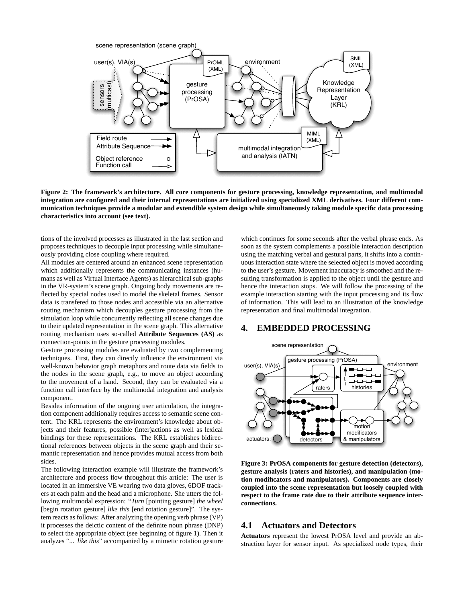

**Figure 2: The framework's architecture. All core components for gesture processing, knowledge representation, and multimodal integration are configured and their internal representations are initialized using specialized XML derivatives. Four different communication techniques provide a modular and extendible system design while simultaneously taking module specific data processing characteristics into account (see text).**

tions of the involved processes as illustrated in the last section and proposes techniques to decouple input processing while simultaneously providing close coupling where required.

All modules are centered around an enhanced scene representation which additionally represents the communicating instances (humans as well as Virtual Interface Agents) as hierarchical sub-graphs in the VR-system's scene graph. Ongoing body movements are reflected by special nodes used to model the skeletal frames. Sensor data is transfered to those nodes and accessible via an alternative routing mechanism which decouples gesture processing from the simulation loop while concurrently reflecting all scene changes due to their updated representation in the scene graph. This alternative routing mechanism uses so-called **Attribute Sequences (AS)** as connection-points in the gesture processing modules.

Gesture processing modules are evaluated by two complementing techniques. First, they can directly influence the environment via well-known behavior graph metaphors and route data via fields to the nodes in the scene graph, e.g., to move an object according to the movement of a hand. Second, they can be evaluated via a function call interface by the multimodal integration and analysis component.

Besides information of the ongoing user articulation, the integration component additionally requires access to semantic scene content. The KRL represents the environment's knowledge about objects and their features, possible (inter)actions as well as lexical bindings for these representations. The KRL establishes bidirectional references between objects in the scene graph and their semantic representation and hence provides mutual access from both sides.

The following interaction example will illustrate the framework's architecture and process flow throughout this article: The user is located in an immersive VE wearing two data gloves, 6DOF trackers at each palm and the head and a microphone. She utters the following multimodal expression: "*Turn* [pointing gesture] *the wheel* [begin rotation gesture] *like this* [end rotation gesture]". The system reacts as follows: After analyzing the opening verb phrase (VP) it processes the deictic content of the definite noun phrase (DNP) to select the appropriate object (see beginning of figure 1). Then it analyzes "*... like this*" accompanied by a mimetic rotation gesture which continues for some seconds after the verbal phrase ends. As soon as the system complements a possible interaction description using the matching verbal and gestural parts, it shifts into a continuous interaction state where the selected object is moved according to the user's gesture. Movement inaccuracy is smoothed and the resulting transformation is applied to the object until the gesture and hence the interaction stops. We will follow the processing of the example interaction starting with the input processing and its flow of information. This will lead to an illustration of the knowledge representation and final multimodal integration.

#### **4. EMBEDDED PROCESSING**



**Figure 3: PrOSA components for gesture detection (detectors), gesture analysis (raters and histories), and manipulation (motion modificators and manipulators). Components are closely coupled into the scene representation but loosely coupled with respect to the frame rate due to their attribute sequence interconnections.**

#### **4.1 Actuators and Detectors**

**Actuators** represent the lowest PrOSA level and provide an abstraction layer for sensor input. As specialized node types, their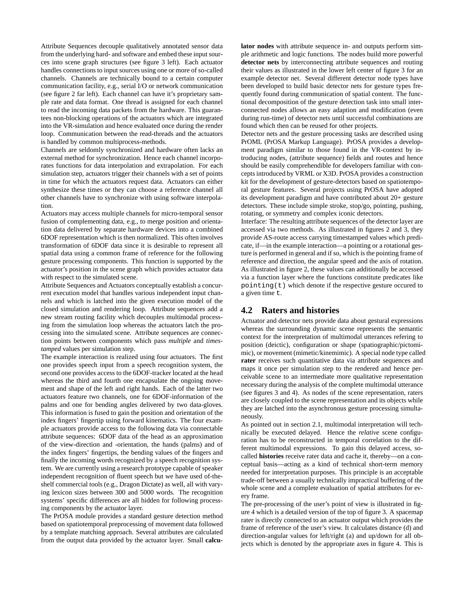Attribute Sequences decouple qualitatively annotated sensor data from the underlying hard- and software and embed these input sources into scene graph structures (see figure 3 left). Each actuator handles connections to input sources using one or more of so-called channels. Channels are technically bound to a certain computer communication facility, e.g., serial I/O or network communication (see figure 2 far left). Each channel can have it's proprietary sample rate and data format. One thread is assigned for each channel to read the incoming data packets from the hardware. This guarantees non-blocking operations of the actuators which are integrated into the VR-simulation and hence evaluated once during the render loop. Communication between the read-threads and the actuators is handled by common multiprocess-methods.

Channels are seldomly synchronized and hardware often lacks an external method for synchronization. Hence each channel incorporates functions for data interpolation and extrapolation. For each simulation step, actuators trigger their channels with a set of points in time for which the actuators request data. Actuators can either synthesize these times or they can choose a reference channel all other channels have to synchronize with using software interpolation.

Actuators may access multiple channels for micro-temporal sensor fusion of complementing data, e.g., to merge position and orientation data delivered by separate hardware devices into a combined 6DOF representation which is then normalized. This often involves transformation of 6DOF data since it is desirable to represent all spatial data using a common frame of reference for the following gesture processing components. This function is supported by the actuator's position in the scene graph which provides actuator data with respect to the simulated scene.

Attribute Sequences and Actuators conceptually establish a concurrent execution model that handles various independent input channels and which is latched into the given execution model of the closed simulation and rendering loop. Attribute sequences add a new stream routing facility which decouples multimodal processing from the simulation loop whereas the actuators latch the processing into the simulated scene. Attribute sequences are connection points between components which pass *multiple* and *timestamped* values per simulation step.

The example interaction is realized using four actuators. The first one provides speech input from a speech recognition system, the second one provides access to the 6DOF-tracker located at the head whereas the third and fourth one encapsulate the ongoing movement and shape of the left and right hands. Each of the latter two actuators feature two channels, one for 6DOF-information of the palms and one for bending angles delivered by two data-gloves. This information is fused to gain the position and orientation of the index fingers' fingertip using forward kinematics. The four example actuators provide access to the following data via connectable attribute sequences: 6DOF data of the head as an approximation of the view-direction and -orientation, the hands (palms) and of the index fingers' fingertips, the bending values of the fingers and finally the incoming words recognized by a speech recognition system. We are currently using a research prototype capable of speaker independent recognition of fluent speech but we have used of-theshelf commercial tools (e.g., Dragon Dictate) as well, all with varying lexicon sizes between 300 and 5000 words. The recognition systems' specific differences are all hidden for following processing components by the actuator layer.

The PrOSA module provides a standard gesture detection method based on spatiotemporal preprocessing of movement data followed by a template matching approach. Several attributes are calculated from the output data provided by the actuator layer. Small **calcu-** **lator nodes** with attribute sequence in- and outputs perform simple arithmetic and logic functions. The nodes build more powerful **detector nets** by interconnecting attribute sequences and routing their values as illustrated in the lower left center of figure 3 for an example detector net. Several different detector node types have been developed to build basic detector nets for gesture types frequently found during communication of spatial content. The functional decomposition of the gesture detection task into small interconnected nodes allows an easy adaption and modification (even during run-time) of detector nets until successful combinations are found which then can be reused for other projects.

Detector nets and the gesture processing tasks are described using PrOML (PrOSA Markup Language). PrOSA provides a development paradigm similar to those found in the VR-context by introducing nodes, (attribute sequence) fields and routes and hence should be easily comprehendible for developers familiar with concepts introduced by VRML or X3D. PrOSA provides a construction kit for the development of gesture-detectors based on spatiotemporal gesture features. Several projects using PrOSA have adopted its development paradigm and have contributed about 20+ gesture detectors. These include simple stroke, stop/go, pointing, pushing, rotating, or symmetry and complex iconic detectors.

Interface: The resulting attribute sequences of the detector layer are accessed via two methods. As illustrated in figures 2 and 3, they provide AS-route access carrying timestamped values which predicate, if—in the example interaction—a pointing or a rotational gesture is performed in general and if so, which is the pointing frame of reference and direction, the angular speed and the axis of rotation. As illustrated in figure 2, these values can additionally be accessed via a function layer where the functions constitute predicates like pointing(t) which denote if the respective gesture occured to a given time t.

#### **4.2 Raters and histories**

Actuator and detector nets provide data about gestural expressions whereas the surrounding dynamic scene represents the semantic context for the interpretation of multimodal utterances refering to position (deictic), configuration or shape (spatiographic/pictomimic), or movement (mimetic/kinemimic). A special node type called **rater** receives such quantitative data via attribute sequences and maps it once per simulation step to the rendered and hence perceivable scene to an intermediate more qualitative representation necessary during the analysis of the complete multimodal utterance (see figures 3 and 4). As nodes of the scene representation, raters are closely coupled to the scene representation and its objects while they are latched into the asynchronous gesture processing simultaneously.

As pointed out in section 2.1, multimodal interpretation will technically be executed delayed. Hence the *relative* scene configuration has to be reconstructed in temporal correlation to the different multimodal expressions. To gain this delayed access, socalled **histories** receive rater data and cache it, thereby—on a conceptual basis—acting as a kind of technical short-term memory needed for interpretation purposes. This principle is an acceptable trade-off between a usually technically impractical buffering of the whole scene and a complete evaluation of spatial attributes for every frame.

The pre-processing of the user's point of view is illustrated in figure 4 which is a detailed version of the top of figure 3. A spacemap rater is directly connected to an actuator output which provides the frame of reference of the user's view. It calculates distance (d) and direction-angular values for left/right (a) and up/down for all objects which is denoted by the appropriate axes in figure 4. This is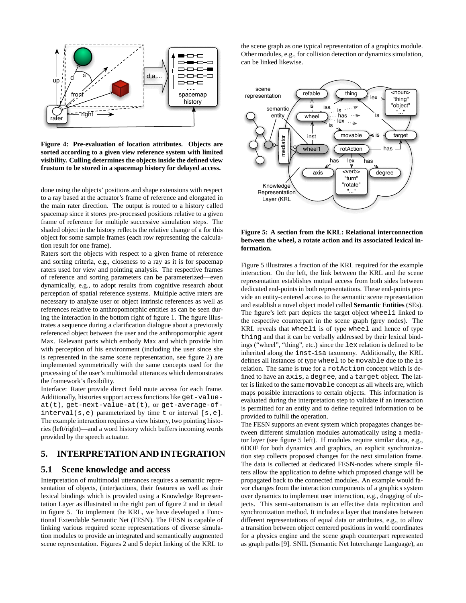

**Figure 4: Pre-evaluation of location attributes. Objects are sorted according to a given view reference system with limited visibility. Culling determines the objects inside the defined view frustum to be stored in a spacemap history for delayed access.**

done using the objects' positions and shape extensions with respect to a ray based at the actuator's frame of reference and elongated in the main rater direction. The output is routed to a history called spacemap since it stores pre-processed positions relative to a given frame of reference for multiple successive simulation steps. The shaded object in the history reflects the relative change of a for this object for some sample frames (each row representing the calculation result for one frame).

Raters sort the objects with respect to a given frame of reference and sorting criteria, e.g., closeness to a ray as it is for spacemap raters used for view and pointing analysis. The respective frames of reference and sorting parameters can be parameterized—even dynamically, e.g., to adopt results from cognitive research about perception of spatial reference systems. Multiple active raters are necessary to analyze user or object intrinsic references as well as references relative to anthropomorphic entities as can be seen during the interaction in the bottom right of figure 1. The figure illustrates a sequence during a clarification dialogue about a previously referenced object between the user and the anthropomorphic agent Max. Relevant parts which embody Max and which provide him with perception of his environment (including the user since she is represented in the same scene representation, see figure 2) are implemented symmetrically with the same concepts used for the processing of the user's multimodal utterances which demonstrates the framework's flexibility.

Interface: Rater provide direct field route access for each frame. Additionally, histories support access functions like get-valueat(t), get-next-value-at(t), or get-average-ofinterval(s,e) parameterized by time t or interval [s,e]. The example interaction requires a view history, two pointing histories (left/right)—and a word history which buffers incoming words provided by the speech actuator.

# **5. INTERPRETATION AND INTEGRATION**

#### **5.1 Scene knowledge and access**

Interpretation of multimodal utterances requires a semantic representation of objects, (inter)actions, their features as well as their lexical bindings which is provided using a Knowledge Representation Layer as illustrated in the right part of figure 2 and in detail in figure 5. To implement the KRL, we have developed a Functional Extendable Semantic Net (FESN). The FESN is capable of linking various required scene representations of diverse simulation modules to provide an integrated and semantically augmented scene representation. Figures 2 and 5 depict linking of the KRL to the scene graph as one typical representation of a graphics module. Other modules, e.g., for collision detection or dynamics simulation, can be linked likewise.



**Figure 5: A section from the KRL: Relational interconnection between the wheel, a rotate action and its associated lexical information.**

Figure 5 illustrates a fraction of the KRL required for the example interaction. On the left, the link between the KRL and the scene representation establishes mutual access from both sides between dedicated end-points in both representations. These end-points provide an entity-centered access to the semantic scene representation and establish a novel object model called **Semantic Entities** (SEs). The figure's left part depicts the target object wheel1 linked to the respective counterpart in the scene graph (grey nodes). The KRL reveals that wheel1 is of type wheel and hence of type thing and that it can be verbally addressed by their lexical bindings ("wheel", "thing", etc.) since the lex relation is defined to be inherited along the inst-isa taxonomy. Additionally, the KRL defines all instances of type wheel to be movable due to the is relation. The same is true for a rotAction concept which is defined to have an axis, a degree, and a target object. The latter is linked to the same movable concept as all wheels are, which maps possible interactions to certain objects. This information is evaluated during the interpretation step to validate if an interaction is permitted for an entity and to define required information to be provided to fulfill the operation.

The FESN supports an event system which propagates changes between different simulation modules automatically using a mediator layer (see figure 5 left). If modules require similar data, e.g., 6DOF for both dynamics and graphics, an explicit synchronization step collects proposed changes for the next simulation frame. The data is collected at dedicated FESN-nodes where simple filters allow the application to define which proposed change will be propagated back to the connected modules. An example would favor changes from the interaction components of a graphics system over dynamics to implement user interaction, e.g., dragging of objects. This semi-automatism is an effective data replication and synchronization method. It includes a layer that translates between different representations of equal data or attributes, e.g., to allow a transition between object centered positions in world coordinates for a physics engine and the scene graph counterpart represented as graph paths [9]. SNIL (Semantic Net Interchange Language), an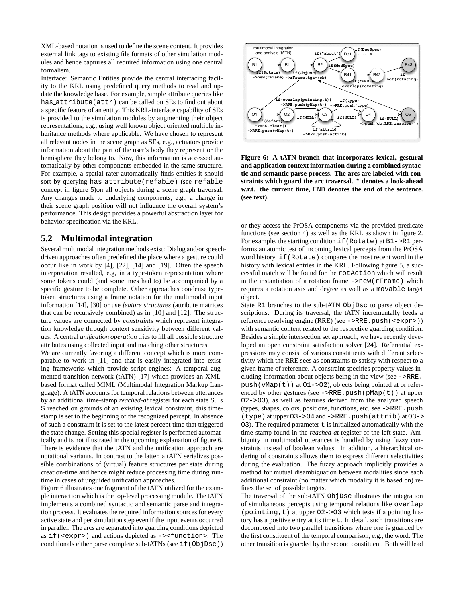XML-based notation is used to define the scene content. It provides external link tags to existing file formats of other simulation modules and hence captures all required information using one central formalism.

Interface: Semantic Entities provide the central interfacing facility to the KRL using predefined query methods to read and update the knowledge base. For example, simple attribute queries like has attribute(attr) can be called on SEs to find out about a specific feature of an entity. This KRL-interface capability of SEs is provided to the simulation modules by augmenting their object representations, e.g., using well known object oriented multiple inheritance methods where applicable. We have chosen to represent all relevant nodes in the scene graph as SEs, e.g., actuators provide information about the part of the user's body they represent or the hemisphere they belong to. Now, this information is accessed automatically by other components embedded in the same structure. For example, a spatial rater automatically finds entities it should sort by querying has attribute(refable) (see refable concept in figure 5)on all objects during a scene graph traversal. Any changes made to underlying components, e.g., a change in their scene graph position will not influence the overall system's performance. This design provides a powerful abstraction layer for behavior specification via the KRL.

#### **5.2 Multimodal integration**

Several multimodal integration methods exist: Dialog and/or speechdriven approaches often predefined the place where a gesture could occur like in work by [4], [22], [14] and [19]. Often the speech interpretation resulted, e.g, in a type-token representation where some tokens could (and sometimes had to) be accompanied by a specific gesture to be complete. Other approaches condense typetoken structures using a frame notation for the multimodal input information [14], [30] or use *feature structures* (attribute matrices that can be recursively combined) as in [10] and [12]. The structure values are connected by *constraints* which represent integration knowledge through context sensitivity between different values. A central *unification operation* tries to fill all possible structure attributes using collected input and matching other structures.

We are currently favoring a different concept which is more comparable to work in [11] and that is easily integrated into existing frameworks which provide script engines: A temporal augmented transition network (tATN) [17] which provides an XMLbased format called MIML (Multimodal Integration Markup Language). A tATN accounts for temporal relations between utterances by an additional time-stamp *reached-at* register for each state S. Is S reached on grounds of an existing lexical constraint, this timestamp is set to the beginning of the recognized percept. In absence of such a constraint it is set to the latest percept time that triggered the state change. Setting this special register is performed automatically and is not illustrated in the upcoming explanation of figure 6. There is evidence that the tATN and the unification approach are notational variants. In contrast to the latter, a tATN serializes possible combinations of (virtual) feature structures per state during creation-time and hence might reduce processing time during runtime in cases of unguided unification approaches.

Figure 6 illustrates one fragment of the tATN utilized for the example interaction which is the top-level processing module. The tATN implements a combined syntactic and semantic parse and integration process. It evaluates the required information sources for every active state and per simulation step even if the input events occurred in parallel. The arcs are separated into guarding conditions depicted as if(<expr>) and actions depicted as -><function>. The conditionals either parse complete sub-tATNs (see if(ObjDsc))



**Figure 6: A tATN branch that incorporates lexical, gestural and application context information during a combined syntactic and semantic parse process. The arcs are labeled with constraints which guard the arc traversal.** \* **denotes a look-ahead w.r.t. the current time,** END **denotes the end of the sentence. (see text).**

or they access the PrOSA components via the provided predicate functions (see section 4) as well as the KRL as shown in figure 2. For example, the starting condition if (Rotate) at B1->R1 performs an atomic test of incoming lexical percepts from the PrOSA word history. if (Rotate) compares the most recent word in the history with lexical entries in the KRL. Following figure 5, a successful match will be found for the rotAction which will result in the instantiation of a rotation frame ->new(rFrame) which requires a rotation axis and degree as well as a movable target object.

State R1 branches to the sub-tATN ObjDsc to parse object descriptions. During its traversal, the tATN incrementally feeds a reference resolving engine (RRE) (see ->RRE.push(<expr>)) with semantic content related to the respective guarding condition. Besides a simple intersection set approach, we have recently developed an open constraint satisfaction solver [24]. Referential expressions may consist of various constituents with different selectivity which the RRE sees as constraints to satisfy with respect to a given frame of reference. A constraint specifies property values including information about objects being in the view (see ->RRE. push(vMap(t)) at O1->O2), objects being pointed at or referenced by other gestures (see  $\rightarrow$ RRE.push(pMap(t)) at upper O2->O3), as well as features derived from the analyzed speech (types, shapes, colors, positions, functions, etc. see ->RRE.push (type) at upper O3->O4 and ->RRE.push(attrib) at O3->  $O(3)$ . The required parameter t is initialized automatically with the time-stamp found in the *reached-at* register of the left state. Ambiguity in multimodal utterances is handled by using fuzzy constraints instead of boolean values. In addition, a hierarchical ordering of constraints allows them to express different selectivities during the evaluation. The fuzzy approach implicitly provides a method for mutual disambiguation between modalities since each additional constraint (no matter which modality it is based on) refines the set of possible targets.

The traversal of the sub-tATN ObjDsc illustrates the integration of simultaneous percepts using temporal relations like overlap (pointing,t) at upper O2->O3 which tests if a pointing history has a positive entry at its time t. In detail, such transitions are decomposed into two parallel transitions where one is guarded by the first constituent of the temporal comparison, e.g., the word. The other transition is guarded by the second constituent. Both will lead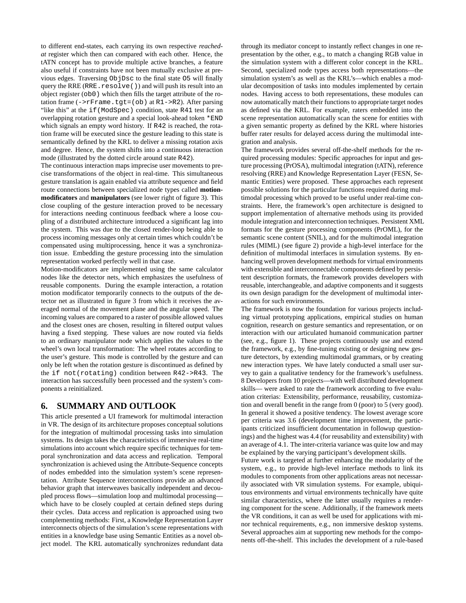to different end-states, each carrying its own respective *reachedat* register which then can compared with each other. Hence, the tATN concept has to provide multiple active branches, a feature also useful if constraints have not been mutually exclusive at previous edges. Traversing ObjDsc to the final state O5 will finally query the RRE (RRE.resolve()) and will push its result into an object register (ob0) which then fills the target attribute of the rotation frame  $(-\gamma r)$  at R1->R2). After parsing "like this" at the if (ModSpec) condition, state R41 test for an overlapping rotation gesture and a special look-ahead token \*END which signals an empty word history. If R42 is reached, the rotation frame will be executed since the gesture leading to this state is semantically defined by the KRL to deliver a missing rotation axis and degree. Hence, the system shifts into a continuous interaction mode (illustrated by the dotted circle around state R42).

The continuous interaction maps imprecise user movements to precise transformations of the object in real-time. This simultaneous gesture translation is again enabled via attribute sequence and field route connections between specialized node types called **motionmodificators** and **manipulators** (see lower right of figure 3). This close coupling of the gesture interaction proved to be necessary for interactions needing continuous feedback where a loose coupling of a distributed architecture introduced a significant lag into the system. This was due to the closed render-loop being able to process incoming messages only at certain times which couldn't be compensated using multiprocessing, hence it was a synchronization issue. Embedding the gesture processing into the simulation representation worked perfectly well in that case.

Motion-modificators are implemented using the same calculator nodes like the detector nets, which emphasizes the usefulness of reusable components. During the example interaction, a rotation motion modificator temporarily connects to the outputs of the detector net as illustrated in figure 3 from which it receives the averaged normal of the movement plane and the angular speed. The incoming values are compared to a raster of possible allowed values and the closest ones are chosen, resulting in filtered output values having a fixed stepping. These values are now routed via fields to an ordinary manipulator node which applies the values to the wheel's own local transformation: The wheel rotates according to the user's gesture. This mode is controlled by the gesture and can only be left when the rotation gesture is discontinued as defined by the if not(rotating) condition between R42->R43. The interaction has successfully been processed and the system's components a reinitialized.

#### **6. SUMMARY AND OUTLOOK**

This article presented a UI framework for multimodal interaction in VR. The design of its architecture proposes conceptual solutions for the integration of multimodal processing tasks into simulation systems. Its design takes the characteristics of immersive real-time simulations into account which require specific techniques for temporal synchronization and data access and replication. Temporal synchronization is achieved using the Attribute-Sequence concepts of nodes embedded into the simulation system's scene representation. Attribute Sequence interconnections provide an advanced behavior graph that interweaves basically independent and decoupled process flows—simulation loop and multimodal processing which have to be closely coupled at certain defined steps during their cycles. Data access and replication is approached using two complementing methods: First, a Knowledge Representation Layer interconnects objects of the simulation's scene representations with entities in a knowledge base using Semantic Entities as a novel object model. The KRL automatically synchronizes redundant data

through its mediator concept to instantly reflect changes in one representation by the other, e.g., to match a changing RGB value in the simulation system with a different color concept in the KRL. Second, specialized node types access both representations—the simulation system's as well as the KRL's—which enables a modular decomposition of tasks into modules implemented by certain nodes. Having access to both representations, these modules can now automatically match their functions to appropriate target nodes as defined via the KRL. For example, raters embedded into the scene representation automatically scan the scene for entities with a given semantic property as defined by the KRL where histories buffer rater results for delayed access during the multimodal integration and analysis.

The framework provides several off-the-shelf methods for the required processing modules: Specific approaches for input and gesture processing (PrOSA), multimodal integration (tATN), reference resolving (RRE) and Knowledge Representation Layer (FESN, Semantic Entities) were proposed. These approaches each represent possible solutions for the particular functions required during multimodal processing which proved to be useful under real-time constraints. Here, the framework's open architecture is designed to support implementation of alternative methods using its provided module integration and interconnection techniques. Persistent XML formats for the gesture processing components (PrOML), for the semantic scene content (SNIL), and for the multimodal integration rules (MIML) (see figure 2) provide a high-level interface for the definition of multimodal interfaces in simulation systems. By enhancing well proven development methods for virtual environments with extensible and interconnectable components defined by persistent description formats, the framework provides developers with reusable, interchangeable, and adaptive components and it suggests its own design paradigm for the development of multimodal interactions for such environments.

The framework is now the foundation for various projects including virtual prototyping applications, empirical studies on human cognition, research on gesture semantics and representation, or on interaction with our articulated humanoid communication partner (see, e.g., figure 1). These projects continuously use and extend the framework, e.g., by fine-tuning existing or designing new gesture detectors, by extending multimodal grammars, or by creating new interaction types. We have lately conducted a small user survey to gain a qualitative tendency for the framework's usefulness. 8 Developers from 10 projects—with well distributed development skills— were asked to rate the framework according to five evaluation criterias: Extensibility, performance, reusability, customization and overall benefit in the range from 0 (poor) to 5 (very good). In general it showed a positive tendency. The lowest average score per criteria was 3.6 (development time improvement, the participants criticized insufficient documentation in followup questionings) and the highest was 4.4 (for reusability and extensibility) with an average of 4.1. The inter-criteria variance was quite low and may be explained by the varying participant's development skills.

Future work is targeted at further enhancing the modularity of the system, e.g., to provide high-level interface methods to link its modules to components from other applications areas not necessarily associated with VR simulation systems. For example, ubiquitous environments and virtual environments technically have quite similar characteristics, where the latter usually requires a rendering component for the scene. Additionally, if the framework meets the VR conditions, it can as well be used for applications with minor technical requirements, e.g., non immersive desktop systems. Several approaches aim at supporting new methods for the components off-the-shelf. This includes the development of a rule-based